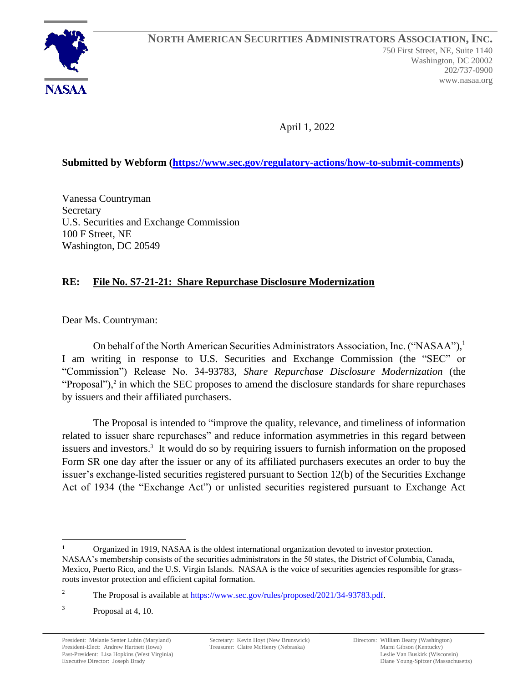

April 1, 2022

### **Submitted by Webform [\(https://www.sec.gov/regulatory-actions/how-to-submit-comments\)](https://www.sec.gov/regulatory-actions/how-to-submit-comments)**

Vanessa Countryman **Secretary** U.S. Securities and Exchange Commission 100 F Street, NE Washington, DC 20549

#### **RE: File No. S7-21-21: Share Repurchase Disclosure Modernization**

Dear Ms. Countryman:

On behalf of the North American Securities Administrators Association, Inc. ("NASAA"),<sup>1</sup> I am writing in response to U.S. Securities and Exchange Commission (the "SEC" or "Commission") Release No. 34-93783, *Share Repurchase Disclosure Modernization* (the "Proposal"), $2$  in which the SEC proposes to amend the disclosure standards for share repurchases by issuers and their affiliated purchasers.

The Proposal is intended to "improve the quality, relevance, and timeliness of information related to issuer share repurchases" and reduce information asymmetries in this regard between issuers and investors.<sup>3</sup> It would do so by requiring issuers to furnish information on the proposed Form SR one day after the issuer or any of its affiliated purchasers executes an order to buy the issuer's exchange-listed securities registered pursuant to Section 12(b) of the Securities Exchange Act of 1934 (the "Exchange Act") or unlisted securities registered pursuant to Exchange Act

<sup>1</sup> Organized in 1919, NASAA is the oldest international organization devoted to investor protection. NASAA's membership consists of the securities administrators in the 50 states, the District of Columbia, Canada, Mexico, Puerto Rico, and the U.S. Virgin Islands. NASAA is the voice of securities agencies responsible for grassroots investor protection and efficient capital formation.

<sup>&</sup>lt;sup>2</sup> The Proposal is available at [https://www.sec.gov/rules/proposed/2021/34-93783.pdf.](https://www.sec.gov/rules/proposed/2021/34-93783.pdf)

<sup>3</sup> Proposal at 4, 10.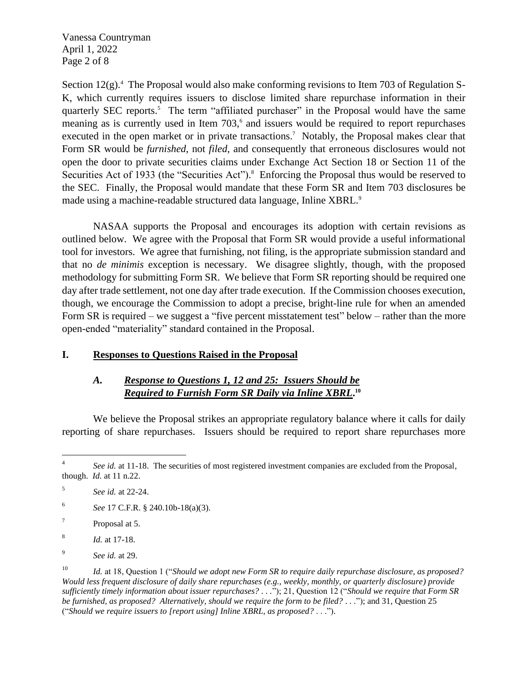Vanessa Countryman April 1, 2022 Page 2 of 8

Section 12(g).<sup>4</sup> The Proposal would also make conforming revisions to Item 703 of Regulation S-K, which currently requires issuers to disclose limited share repurchase information in their quarterly SEC reports.<sup>5</sup> The term "affiliated purchaser" in the Proposal would have the same meaning as is currently used in Item  $703$ ,  $6$  and issuers would be required to report repurchases executed in the open market or in private transactions.<sup>7</sup> Notably, the Proposal makes clear that Form SR would be *furnished*, not *filed*, and consequently that erroneous disclosures would not open the door to private securities claims under Exchange Act Section 18 or Section 11 of the Securities Act of 1933 (the "Securities Act").<sup>8</sup> Enforcing the Proposal thus would be reserved to the SEC. Finally, the Proposal would mandate that these Form SR and Item 703 disclosures be made using a machine-readable structured data language, Inline XBRL.<sup>9</sup>

NASAA supports the Proposal and encourages its adoption with certain revisions as outlined below. We agree with the Proposal that Form SR would provide a useful informational tool for investors. We agree that furnishing, not filing, is the appropriate submission standard and that no *de minimis* exception is necessary. We disagree slightly, though, with the proposed methodology for submitting Form SR. We believe that Form SR reporting should be required one day after trade settlement, not one day after trade execution. If the Commission chooses execution, though, we encourage the Commission to adopt a precise, bright-line rule for when an amended Form SR is required – we suggest a "five percent misstatement test" below – rather than the more open-ended "materiality" standard contained in the Proposal.

#### **I. Responses to Questions Raised in the Proposal**

### *A. Response to Questions 1, 12 and 25: Issuers Should be Required to Furnish Form SR Daily via Inline XBRL***. 10**

We believe the Proposal strikes an appropriate regulatory balance where it calls for daily reporting of share repurchases. Issuers should be required to report share repurchases more

<sup>4</sup> See id. at 11-18. The securities of most registered investment companies are excluded from the Proposal, though. *Id.* at 11 n.22.

<sup>5</sup> *See id.* at 22-24.

<sup>6</sup> *See* 17 C.F.R. § 240.10b-18(a)(3).

<sup>7</sup> Proposal at 5.

<sup>8</sup> *Id.* at 17-18.

<sup>9</sup> *See id.* at 29.

<sup>10</sup> *Id.* at 18, Question 1 ("*Should we adopt new Form SR to require daily repurchase disclosure, as proposed? Would less frequent disclosure of daily share repurchases (e.g., weekly, monthly, or quarterly disclosure) provide sufficiently timely information about issuer repurchases? . . .*"); 21, Question 12 ("*Should we require that Form SR be furnished, as proposed? Alternatively, should we require the form to be filed? . . .*"); and 31, Question 25 ("*Should we require issuers to [report using] Inline XBRL, as proposed?* . . .").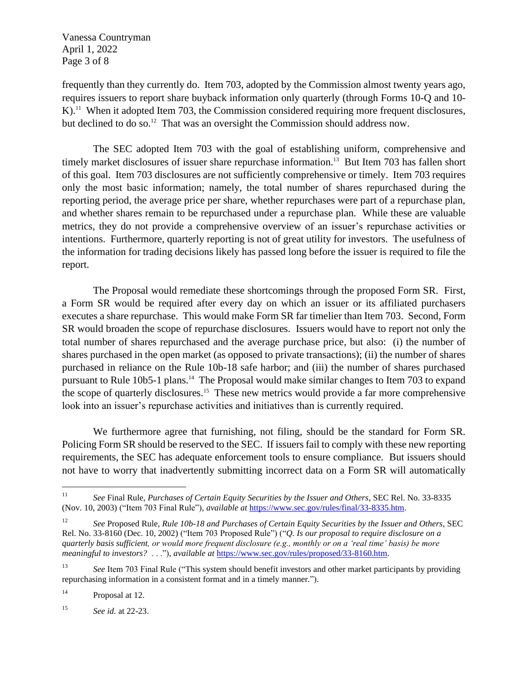Vanessa Countryman April 1, 2022 Page 3 of 8

frequently than they currently do. Item 703, adopted by the Commission almost twenty years ago, requires issuers to report share buyback information only quarterly (through Forms 10-Q and 10- K).<sup>11</sup> When it adopted Item 703, the Commission considered requiring more frequent disclosures, but declined to do so.<sup>12</sup> That was an oversight the Commission should address now.

The SEC adopted Item 703 with the goal of establishing uniform, comprehensive and timely market disclosures of issuer share repurchase information. <sup>13</sup> But Item 703 has fallen short of this goal. Item 703 disclosures are not sufficiently comprehensive or timely. Item 703 requires only the most basic information; namely, the total number of shares repurchased during the reporting period, the average price per share, whether repurchases were part of a repurchase plan, and whether shares remain to be repurchased under a repurchase plan. While these are valuable metrics, they do not provide a comprehensive overview of an issuer's repurchase activities or intentions. Furthermore, quarterly reporting is not of great utility for investors. The usefulness of the information for trading decisions likely has passed long before the issuer is required to file the report.

The Proposal would remediate these shortcomings through the proposed Form SR. First, a Form SR would be required after every day on which an issuer or its affiliated purchasers executes a share repurchase. This would make Form SR far timelier than Item 703. Second, Form SR would broaden the scope of repurchase disclosures. Issuers would have to report not only the total number of shares repurchased and the average purchase price, but also: (i) the number of shares purchased in the open market (as opposed to private transactions); (ii) the number of shares purchased in reliance on the Rule 10b-18 safe harbor; and (iii) the number of shares purchased pursuant to Rule 10b5-1 plans.<sup>14</sup> The Proposal would make similar changes to Item 703 to expand the scope of quarterly disclosures. 15 These new metrics would provide a far more comprehensive look into an issuer's repurchase activities and initiatives than is currently required.

We furthermore agree that furnishing, not filing, should be the standard for Form SR. Policing Form SR should be reserved to the SEC. If issuers fail to comply with these new reporting requirements, the SEC has adequate enforcement tools to ensure compliance. But issuers should not have to worry that inadvertently submitting incorrect data on a Form SR will automatically

<sup>11</sup> *See* Final Rule, *Purchases of Certain Equity Securities by the Issuer and Others*, SEC Rel. No. 33-8335 (Nov. 10, 2003) ("Item 703 Final Rule"), *available at* [https://www.sec.gov/rules/final/33-8335.htm.](https://www.sec.gov/rules/final/33-8335.htm)

<sup>12</sup> *See* Proposed Rule, *Rule 10b-18 and Purchases of Certain Equity Securities by the Issuer and Others*, SEC Rel. No. 33-8160 (Dec. 10, 2002) ("Item 703 Proposed Rule") ("*Q. Is our proposal to require disclosure on a quarterly basis sufficient, or would more frequent disclosure (e.g., monthly or on a 'real time' basis) be more meaningful to investors?* . . ."), *available at* [https://www.sec.gov/rules/proposed/33-8160.htm.](https://www.sec.gov/rules/proposed/33-8160.htm)

<sup>&</sup>lt;sup>13</sup> *See* Item 703 Final Rule ("This system should benefit investors and other market participants by providing repurchasing information in a consistent format and in a timely manner.").

<sup>&</sup>lt;sup>14</sup> Proposal at 12.

<sup>15</sup> *See id.* at 22-23.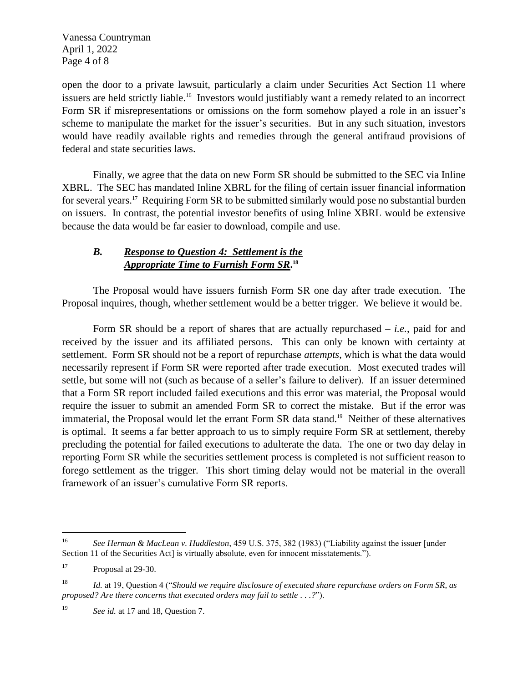Vanessa Countryman April 1, 2022 Page 4 of 8

open the door to a private lawsuit, particularly a claim under Securities Act Section 11 where issuers are held strictly liable. 16 Investors would justifiably want a remedy related to an incorrect Form SR if misrepresentations or omissions on the form somehow played a role in an issuer's scheme to manipulate the market for the issuer's securities. But in any such situation, investors would have readily available rights and remedies through the general antifraud provisions of federal and state securities laws.

Finally, we agree that the data on new Form SR should be submitted to the SEC via Inline XBRL. The SEC has mandated Inline XBRL for the filing of certain issuer financial information for several years.<sup>17</sup> Requiring Form SR to be submitted similarly would pose no substantial burden on issuers. In contrast, the potential investor benefits of using Inline XBRL would be extensive because the data would be far easier to download, compile and use.

## *B. Response to Question 4: Settlement is the Appropriate Time to Furnish Form SR***. 18**

The Proposal would have issuers furnish Form SR one day after trade execution. The Proposal inquires, though, whether settlement would be a better trigger. We believe it would be.

Form SR should be a report of shares that are actually repurchased – *i.e.*, paid for and received by the issuer and its affiliated persons. This can only be known with certainty at settlement. Form SR should not be a report of repurchase *attempts*, which is what the data would necessarily represent if Form SR were reported after trade execution. Most executed trades will settle, but some will not (such as because of a seller's failure to deliver). If an issuer determined that a Form SR report included failed executions and this error was material, the Proposal would require the issuer to submit an amended Form SR to correct the mistake. But if the error was immaterial, the Proposal would let the errant Form SR data stand.<sup>19</sup> Neither of these alternatives is optimal. It seems a far better approach to us to simply require Form SR at settlement, thereby precluding the potential for failed executions to adulterate the data. The one or two day delay in reporting Form SR while the securities settlement process is completed is not sufficient reason to forego settlement as the trigger. This short timing delay would not be material in the overall framework of an issuer's cumulative Form SR reports.

<sup>19</sup> *See id.* at 17 and 18, Question 7.

<sup>16</sup> *See Herman & MacLean v. Huddleston*, 459 U.S. 375, 382 (1983) ("Liability against the issuer [under Section 11 of the Securities Act] is virtually absolute, even for innocent misstatements.").

<sup>&</sup>lt;sup>17</sup> Proposal at 29-30.

<sup>18</sup> *Id.* at 19, Question 4 ("*Should we require disclosure of executed share repurchase orders on Form SR, as proposed? Are there concerns that executed orders may fail to settle . . .?*").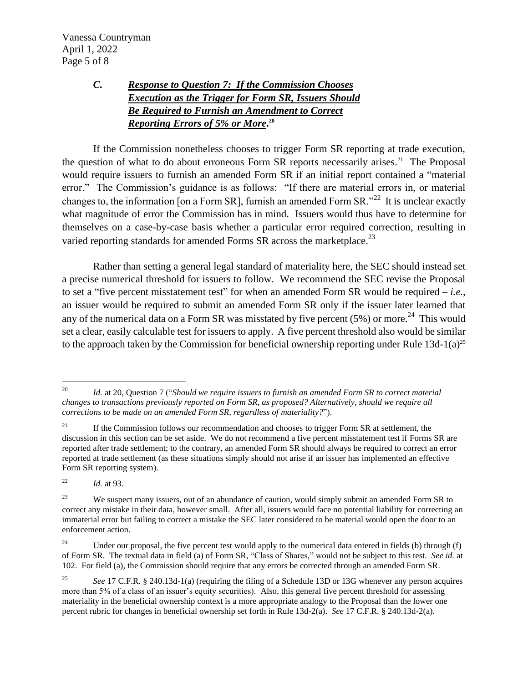Vanessa Countryman April 1, 2022 Page 5 of 8

## *C. Response to Question 7: If the Commission Chooses Execution as the Trigger for Form SR, Issuers Should Be Required to Furnish an Amendment to Correct Reporting Errors of 5% or More***. 20**

If the Commission nonetheless chooses to trigger Form SR reporting at trade execution, the question of what to do about erroneous Form SR reports necessarily arises.<sup>21</sup> The Proposal would require issuers to furnish an amended Form SR if an initial report contained a "material error." The Commission's guidance is as follows: "If there are material errors in, or material changes to, the information [on a Form SR], furnish an amended Form SR."<sup>22</sup> It is unclear exactly what magnitude of error the Commission has in mind. Issuers would thus have to determine for themselves on a case-by-case basis whether a particular error required correction, resulting in varied reporting standards for amended Forms SR across the marketplace.<sup>23</sup>

Rather than setting a general legal standard of materiality here, the SEC should instead set a precise numerical threshold for issuers to follow. We recommend the SEC revise the Proposal to set a "five percent misstatement test" for when an amended Form SR would be required – *i.e.*, an issuer would be required to submit an amended Form SR only if the issuer later learned that any of the numerical data on a Form SR was misstated by five percent  $(5%)$  or more.<sup>24</sup> This would set a clear, easily calculable test for issuers to apply. A five percent threshold also would be similar to the approach taken by the Commission for beneficial ownership reporting under Rule  $13d-1(a)^{25}$ 

<sup>22</sup> *Id.* at 93.

<sup>20</sup> *Id.* at 20, Question 7 ("*Should we require issuers to furnish an amended Form SR to correct material changes to transactions previously reported on Form SR, as proposed? Alternatively, should we require all corrections to be made on an amended Form SR, regardless of materiality?*").

<sup>&</sup>lt;sup>21</sup> If the Commission follows our recommendation and chooses to trigger Form SR at settlement, the discussion in this section can be set aside. We do not recommend a five percent misstatement test if Forms SR are reported after trade settlement; to the contrary, an amended Form SR should always be required to correct an error reported at trade settlement (as these situations simply should not arise if an issuer has implemented an effective Form SR reporting system).

<sup>&</sup>lt;sup>23</sup> We suspect many issuers, out of an abundance of caution, would simply submit an amended Form SR to correct any mistake in their data, however small. After all, issuers would face no potential liability for correcting an immaterial error but failing to correct a mistake the SEC later considered to be material would open the door to an enforcement action.

<sup>&</sup>lt;sup>24</sup> Under our proposal, the five percent test would apply to the numerical data entered in fields (b) through (f) of Form SR. The textual data in field (a) of Form SR, "Class of Shares," would not be subject to this test. *See id.* at 102. For field (a), the Commission should require that any errors be corrected through an amended Form SR.

<sup>25</sup> *See* 17 C.F.R. § 240.13d-1(a) (requiring the filing of a Schedule 13D or 13G whenever any person acquires more than 5% of a class of an issuer's equity securities). Also, this general five percent threshold for assessing materiality in the beneficial ownership context is a more appropriate analogy to the Proposal than the lower one percent rubric for changes in beneficial ownership set forth in Rule 13d-2(a). *See* 17 C.F.R. § 240.13d-2(a).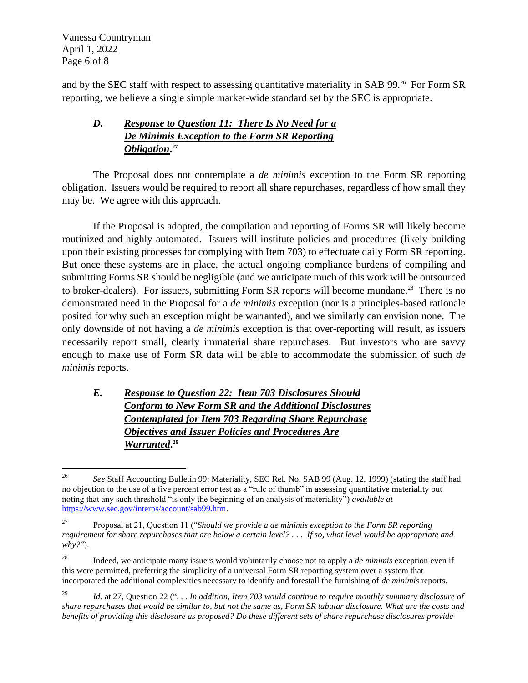Vanessa Countryman April 1, 2022 Page 6 of 8

and by the SEC staff with respect to assessing quantitative materiality in SAB 99.<sup>26</sup> For Form SR reporting, we believe a single simple market-wide standard set by the SEC is appropriate.

# *D. Response to Question 11: There Is No Need for a De Minimis Exception to the Form SR Reporting Obligation***. 27**

The Proposal does not contemplate a *de minimis* exception to the Form SR reporting obligation. Issuers would be required to report all share repurchases, regardless of how small they may be. We agree with this approach.

If the Proposal is adopted, the compilation and reporting of Forms SR will likely become routinized and highly automated. Issuers will institute policies and procedures (likely building upon their existing processes for complying with Item 703) to effectuate daily Form SR reporting. But once these systems are in place, the actual ongoing compliance burdens of compiling and submitting Forms SR should be negligible (and we anticipate much of this work will be outsourced to broker-dealers). For issuers, submitting Form SR reports will become mundane.<sup>28</sup> There is no demonstrated need in the Proposal for a *de minimis* exception (nor is a principles-based rationale posited for why such an exception might be warranted), and we similarly can envision none. The only downside of not having a *de minimis* exception is that over-reporting will result, as issuers necessarily report small, clearly immaterial share repurchases. But investors who are savvy enough to make use of Form SR data will be able to accommodate the submission of such *de minimis* reports.

# *E. Response to Question 22: Item 703 Disclosures Should Conform to New Form SR and the Additional Disclosures Contemplated for Item 703 Regarding Share Repurchase Objectives and Issuer Policies and Procedures Are Warranted***. 29**

<sup>&</sup>lt;sup>26</sup> *See Staff Accounting Bulletin 99: Materiality, SEC Rel. No. SAB 99 (Aug. 12, 1999) (stating the staff had* no objection to the use of a five percent error test as a "rule of thumb" in assessing quantitative materiality but noting that any such threshold "is only the beginning of an analysis of materiality") *available at*  [https://www.sec.gov/interps/account/sab99.htm.](https://www.sec.gov/interps/account/sab99.htm)

<sup>27</sup> Proposal at 21, Question 11 ("*Should we provide a de minimis exception to the Form SR reporting requirement for share repurchases that are below a certain level? . . . If so, what level would be appropriate and why?*").

<sup>28</sup> Indeed, we anticipate many issuers would voluntarily choose not to apply a *de minimis* exception even if this were permitted, preferring the simplicity of a universal Form SR reporting system over a system that incorporated the additional complexities necessary to identify and forestall the furnishing of *de minimis* reports.

<sup>29</sup> *Id.* at 27, Question 22 ("*. . . In addition, Item 703 would continue to require monthly summary disclosure of share repurchases that would be similar to, but not the same as, Form SR tabular disclosure. What are the costs and benefits of providing this disclosure as proposed? Do these different sets of share repurchase disclosures provide*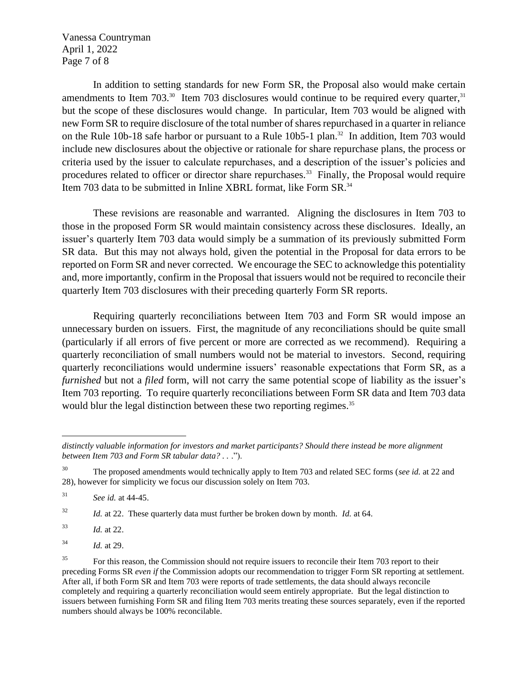Vanessa Countryman April 1, 2022 Page 7 of 8

In addition to setting standards for new Form SR, the Proposal also would make certain amendments to Item 703. $^{30}$  Item 703 disclosures would continue to be required every quarter,  $^{31}$ but the scope of these disclosures would change. In particular, Item 703 would be aligned with new Form SR to require disclosure of the total number of shares repurchased in a quarter in reliance on the Rule 10b-18 safe harbor or pursuant to a Rule 10b5-1 plan.<sup>32</sup> In addition, Item 703 would include new disclosures about the objective or rationale for share repurchase plans, the process or criteria used by the issuer to calculate repurchases, and a description of the issuer's policies and procedures related to officer or director share repurchases.<sup>33</sup> Finally, the Proposal would require Item 703 data to be submitted in Inline XBRL format, like Form SR.<sup>34</sup>

These revisions are reasonable and warranted. Aligning the disclosures in Item 703 to those in the proposed Form SR would maintain consistency across these disclosures. Ideally, an issuer's quarterly Item 703 data would simply be a summation of its previously submitted Form SR data. But this may not always hold, given the potential in the Proposal for data errors to be reported on Form SR and never corrected. We encourage the SEC to acknowledge this potentiality and, more importantly, confirm in the Proposal that issuers would not be required to reconcile their quarterly Item 703 disclosures with their preceding quarterly Form SR reports.

Requiring quarterly reconciliations between Item 703 and Form SR would impose an unnecessary burden on issuers. First, the magnitude of any reconciliations should be quite small (particularly if all errors of five percent or more are corrected as we recommend). Requiring a quarterly reconciliation of small numbers would not be material to investors. Second, requiring quarterly reconciliations would undermine issuers' reasonable expectations that Form SR, as a *furnished* but not a *filed* form, will not carry the same potential scope of liability as the issuer's Item 703 reporting. To require quarterly reconciliations between Form SR data and Item 703 data would blur the legal distinction between these two reporting regimes.<sup>35</sup>

<sup>32</sup> *Id.* at 22. These quarterly data must further be broken down by month. *Id.* at 64.

<sup>33</sup> *Id.* at 22.

<sup>34</sup> *Id.* at 29.

*distinctly valuable information for investors and market participants? Should there instead be more alignment between Item 703 and Form SR tabular data? . .* .").

<sup>30</sup> The proposed amendments would technically apply to Item 703 and related SEC forms (*see id.* at 22 and 28), however for simplicity we focus our discussion solely on Item 703.

<sup>31</sup> *See id.* at 44-45.

<sup>&</sup>lt;sup>35</sup> For this reason, the Commission should not require issuers to reconcile their Item 703 report to their preceding Forms SR *even if* the Commission adopts our recommendation to trigger Form SR reporting at settlement. After all, if both Form SR and Item 703 were reports of trade settlements, the data should always reconcile completely and requiring a quarterly reconciliation would seem entirely appropriate. But the legal distinction to issuers between furnishing Form SR and filing Item 703 merits treating these sources separately, even if the reported numbers should always be 100% reconcilable.